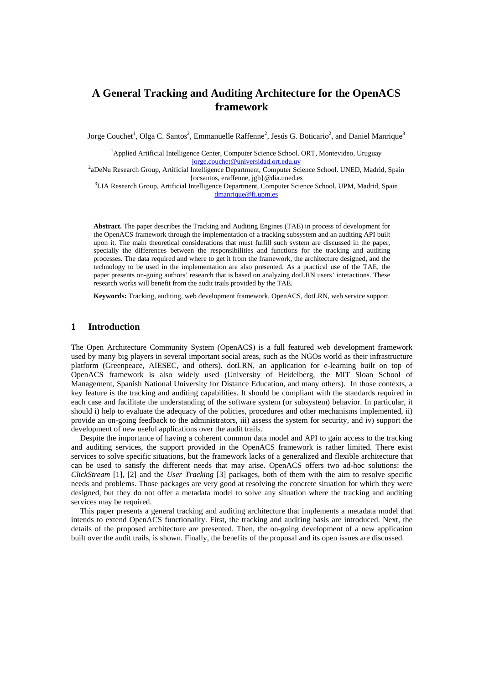# **A General Tracking and Auditing Architecture for the OpenACS framework**

Jorge Couchet<sup>1</sup>, Olga C. Santos<sup>2</sup>, Emmanuelle Raffenne<sup>2</sup>, Jesús G. Boticario<sup>2</sup>, and Daniel Manrique<sup>3</sup>

<sup>1</sup>Applied Artificial Intelligence Center, Computer Science School. ORT, Montevideo, Uruguay

iorge.couchet@universidad.ort.edu.uy<br><sup>2</sup>aDeNu Research Group, Artificial Intelligence Department, Computer Science School. UNED, Madrid, Spain {ocsantos, eraffenne, jgb}@dia.uned.es<br><sup>3</sup>LIA Research Group, Artificial Intelligence Department, Computer Science School. UPM, Madrid, Spain

dmanrique@fi.upm.es

**Abstract.** The paper describes the Tracking and Auditing Engines (TAE) in process of development for the OpenACS framework through the implementation of a tracking subsystem and an auditing API built upon it. The main theoretical considerations that must fulfill such system are discussed in the paper, specially the differences between the responsibilities and functions for the tracking and auditing processes. The data required and where to get it from the framework, the architecture designed, and the technology to be used in the implementation are also presented. As a practical use of the TAE, the paper presents on-going authors' research that is based on analyzing dotLRN users' interactions. These research works will benefit from the audit trails provided by the TAE.

**Keywords:** Tracking, auditing, web development framework, OpenACS, dotLRN, web service support.

# **1 Introduction**

The Open Architecture Community System (OpenACS) is a full featured web development framework used by many big players in several important social areas, such as the NGOs world as their infrastructure platform (Greenpeace, AIESEC, and others). dotLRN, an application for e-learning built on top of OpenACS framework is also widely used (University of Heidelberg, the MIT Sloan School of Management, Spanish National University for Distance Education, and many others). In those contexts, a key feature is the tracking and auditing capabilities. It should be compliant with the standards required in each case and facilitate the understanding of the software system (or subsystem) behavior. In particular, it should i) help to evaluate the adequacy of the policies, procedures and other mechanisms implemented, ii) provide an on-going feedback to the administrators, iii) assess the system for security, and iv) support the development of new useful applications over the audit trails.

Despite the importance of having a coherent common data model and API to gain access to the tracking and auditing services, the support provided in the OpenACS framework is rather limited. There exist services to solve specific situations, but the framework lacks of a generalized and flexible architecture that can be used to satisfy the different needs that may arise. OpenACS offers two ad-hoc solutions: the *ClickStream* [1], [2] and the *User Tracking* [3] packages, both of them with the aim to resolve specific needs and problems. Those packages are very good at resolving the concrete situation for which they were designed, but they do not offer a metadata model to solve any situation where the tracking and auditing services may be required.

This paper presents a general tracking and auditing architecture that implements a metadata model that intends to extend OpenACS functionality. First, the tracking and auditing basis are introduced. Next, the details of the proposed architecture are presented. Then, the on-going development of a new application built over the audit trails, is shown. Finally, the benefits of the proposal and its open issues are discussed.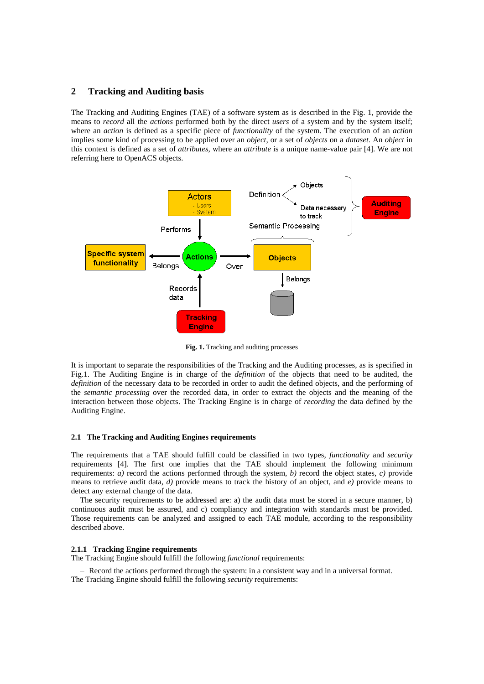## **2 Tracking and Auditing basis**

The Tracking and Auditing Engines (TAE) of a software system as is described in the Fig. 1, provide the means to *record* all the *actions* performed both by the direct *users* of a system and by the system itself; where an *action* is defined as a specific piece of *functionality* of the system. The execution of an *action* implies some kind of processing to be applied over an *object*, or a set of *objects* on a *dataset*. An *object* in this context is defined as a set of *attributes*, where an *attribute* is a unique name-value pair [4]. We are not referring here to OpenACS objects.



**Fig. 1.** Tracking and auditing processes

It is important to separate the responsibilities of the Tracking and the Auditing processes, as is specified in Fig.1. The Auditing Engine is in charge of the *definition* of the objects that need to be audited, the *definition* of the necessary data to be recorded in order to audit the defined objects, and the performing of the *semantic processing* over the recorded data, in order to extract the objects and the meaning of the interaction between those objects. The Tracking Engine is in charge of *recording* the data defined by the Auditing Engine.

#### **2.1 The Tracking and Auditing Engines requirements**

The requirements that a TAE should fulfill could be classified in two types, *functionality* and *security* requirements [4]. The first one implies that the TAE should implement the following minimum requirements: *a)* record the actions performed through the system, *b)* record the object states, *c)* provide means to retrieve audit data, *d)* provide means to track the history of an object, and *e)* provide means to detect any external change of the data.

The security requirements to be addressed are: a) the audit data must be stored in a secure manner, b) continuous audit must be assured, and c) compliancy and integration with standards must be provided. Those requirements can be analyzed and assigned to each TAE module, according to the responsibility described above.

#### **2.1.1 Tracking Engine requirements**

The Tracking Engine should fulfill the following *functional* requirements:

− Record the actions performed through the system: in a consistent way and in a universal format. The Tracking Engine should fulfill the following *security* requirements: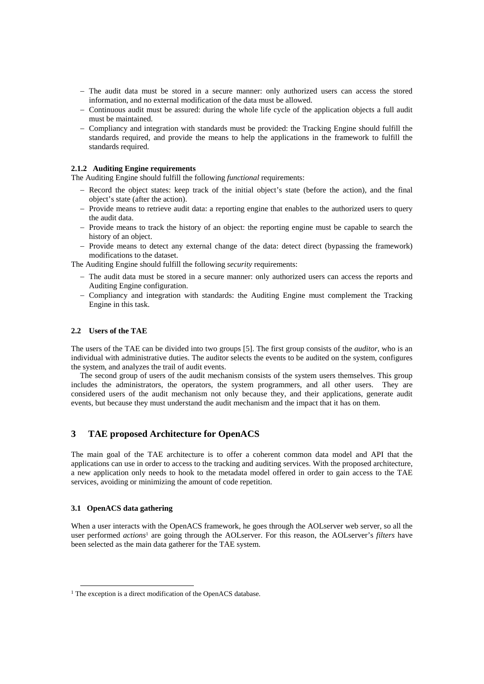- − The audit data must be stored in a secure manner: only authorized users can access the stored information, and no external modification of the data must be allowed.
- − Continuous audit must be assured: during the whole life cycle of the application objects a full audit must be maintained.
- − Compliancy and integration with standards must be provided: the Tracking Engine should fulfill the standards required, and provide the means to help the applications in the framework to fulfill the standards required.

## **2.1.2 Auditing Engine requirements**

The Auditing Engine should fulfill the following *functional* requirements:

- − Record the object states: keep track of the initial object's state (before the action), and the final object's state (after the action).
- − Provide means to retrieve audit data: a reporting engine that enables to the authorized users to query the audit data.
- − Provide means to track the history of an object: the reporting engine must be capable to search the history of an object.
- − Provide means to detect any external change of the data: detect direct (bypassing the framework) modifications to the dataset.

The Auditing Engine should fulfill the following *security* requirements:

- − The audit data must be stored in a secure manner: only authorized users can access the reports and Auditing Engine configuration.
- − Compliancy and integration with standards: the Auditing Engine must complement the Tracking Engine in this task.

#### **2.2 Users of the TAE**

The users of the TAE can be divided into two groups [5]. The first group consists of the *auditor*, who is an individual with administrative duties. The auditor selects the events to be audited on the system, configures the system, and analyzes the trail of audit events.

The second group of users of the audit mechanism consists of the system users themselves. This group includes the administrators, the operators, the system programmers, and all other users. They are considered users of the audit mechanism not only because they, and their applications, generate audit events, but because they must understand the audit mechanism and the impact that it has on them.

# **3 TAE proposed Architecture for OpenACS**

The main goal of the TAE architecture is to offer a coherent common data model and API that the applications can use in order to access to the tracking and auditing services. With the proposed architecture, a new application only needs to hook to the metadata model offered in order to gain access to the TAE services, avoiding or minimizing the amount of code repetition.

#### **3.1 OpenACS data gathering**

When a user interacts with the OpenACS framework, he goes through the AOLserver web server, so all the user performed *actions*<sup>1</sup> are going through the AOLserver. For this reason, the AOLserver's *filters* have been selected as the main data gatherer for the TAE system.

 <sup>1</sup> The exception is a direct modification of the OpenACS database.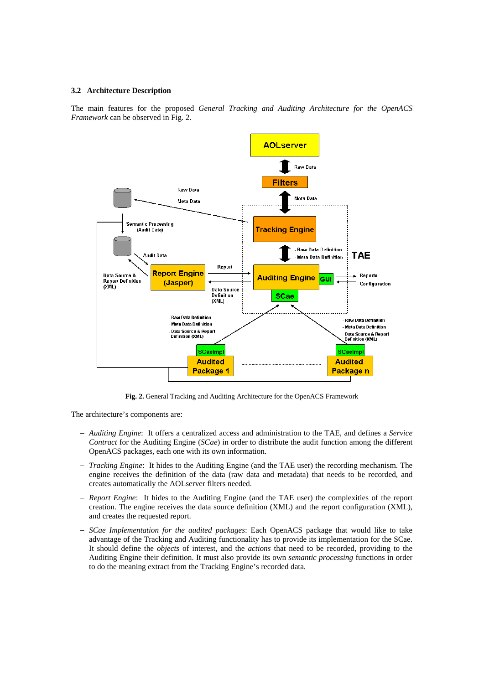#### **3.2 Architecture Description**

The main features for the proposed *General Tracking and Auditing Architecture for the OpenACS Framework* can be observed in Fig. 2.



**Fig. 2.** General Tracking and Auditing Architecture for the OpenACS Framework

The architecture's components are:

- − *Auditing Engine*: It offers a centralized access and administration to the TAE, and defines a *Service Contract* for the Auditing Engine (*SCae*) in order to distribute the audit function among the different OpenACS packages, each one with its own information.
- − *Tracking Engine*: It hides to the Auditing Engine (and the TAE user) the recording mechanism. The engine receives the definition of the data (raw data and metadata) that needs to be recorded, and creates automatically the AOLserver filters needed.
- − *Report Engine*: It hides to the Auditing Engine (and the TAE user) the complexities of the report creation. The engine receives the data source definition (XML) and the report configuration (XML), and creates the requested report.
- − *SCae Implementation for the audited packages*: Each OpenACS package that would like to take advantage of the Tracking and Auditing functionality has to provide its implementation for the SCae. It should define the *objects* of interest, and the *actions* that need to be recorded, providing to the Auditing Engine their definition. It must also provide its own *semantic processing* functions in order to do the meaning extract from the Tracking Engine's recorded data.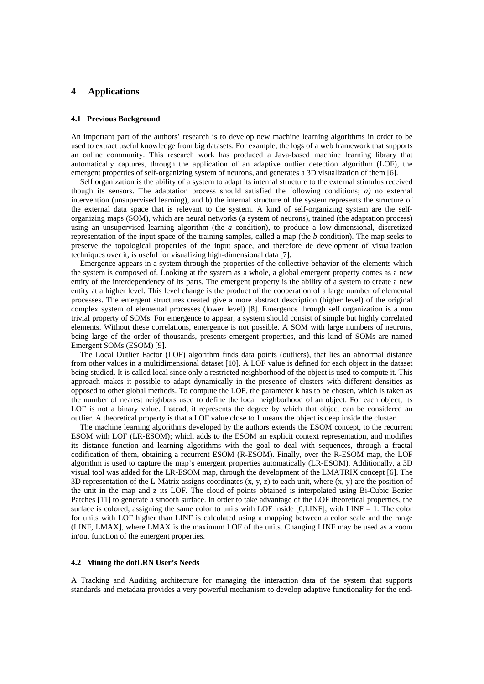## **4 Applications**

## **4.1 Previous Background**

An important part of the authors' research is to develop new machine learning algorithms in order to be used to extract useful knowledge from big datasets. For example, the logs of a web framework that supports an online community. This research work has produced a Java-based machine learning library that automatically captures, through the application of an adaptive outlier detection algorithm (LOF), the emergent properties of self-organizing system of neurons, and generates a 3D visualization of them [6].

Self organization is the ability of a system to adapt its internal structure to the external stimulus received though its sensors. The adaptation process should satisfied the following conditions; *a)* no external intervention (unsupervised learning), and b) the internal structure of the system represents the structure of the external data space that is relevant to the system. A kind of self-organizing system are the selforganizing maps (SOM), which are neural networks (a system of neurons), trained (the adaptation process) using an unsupervised learning algorithm (the *a* condition), to produce a low-dimensional, discretized representation of the input space of the training samples, called a map (the *b* condition). The map seeks to preserve the topological properties of the input space, and therefore de development of visualization techniques over it, is useful for visualizing high-dimensional data [7].

Emergence appears in a system through the properties of the collective behavior of the elements which the system is composed of. Looking at the system as a whole, a global emergent property comes as a new entity of the interdependency of its parts. The emergent property is the ability of a system to create a new entity at a higher level. This level change is the product of the cooperation of a large number of elemental processes. The emergent structures created give a more abstract description (higher level) of the original complex system of elemental processes (lower level) [8]. Emergence through self organization is a non trivial property of SOMs. For emergence to appear, a system should consist of simple but highly correlated elements. Without these correlations, emergence is not possible. A SOM with large numbers of neurons, being large of the order of thousands, presents emergent properties, and this kind of SOMs are named Emergent SOMs (ESOM) [9].

The Local Outlier Factor (LOF) algorithm finds data points (outliers), that lies an abnormal distance from other values in a multidimensional dataset [10]. A LOF value is defined for each object in the dataset being studied. It is called local since only a restricted neighborhood of the object is used to compute it. This approach makes it possible to adapt dynamically in the presence of clusters with different densities as opposed to other global methods. To compute the LOF, the parameter k has to be chosen, which is taken as the number of nearest neighbors used to define the local neighborhood of an object. For each object, its LOF is not a binary value. Instead, it represents the degree by which that object can be considered an outlier. A theoretical property is that a LOF value close to 1 means the object is deep inside the cluster.

The machine learning algorithms developed by the authors extends the ESOM concept, to the recurrent ESOM with LOF (LR-ESOM); which adds to the ESOM an explicit context representation, and modifies its distance function and learning algorithms with the goal to deal with sequences, through a fractal codification of them, obtaining a recurrent ESOM (R-ESOM). Finally, over the R-ESOM map, the LOF algorithm is used to capture the map's emergent properties automatically (LR-ESOM). Additionally, a 3D visual tool was added for the LR-ESOM map, through the development of the LMATRIX concept [6]. The 3D representation of the L-Matrix assigns coordinates  $(x, y, z)$  to each unit, where  $(x, y)$  are the position of the unit in the map and z its LOF. The cloud of points obtained is interpolated using Bi-Cubic Bezier Patches [11] to generate a smooth surface. In order to take advantage of the LOF theoretical properties, the surface is colored, assigning the same color to units with LOF inside  $[0, LINF]$ , with  $LINF = 1$ . The color for units with LOF higher than LINF is calculated using a mapping between a color scale and the range (LINF, LMAX], where LMAX is the maximum LOF of the units. Changing LINF may be used as a zoom in/out function of the emergent properties.

#### **4.2 Mining the dotLRN User's Needs**

A Tracking and Auditing architecture for managing the interaction data of the system that supports standards and metadata provides a very powerful mechanism to develop adaptive functionality for the end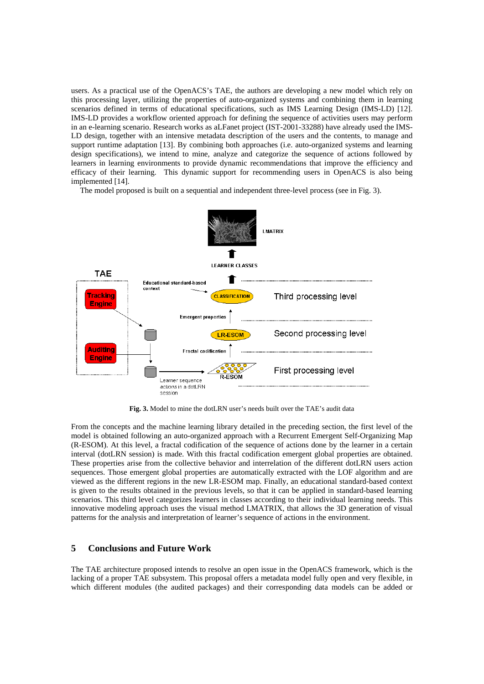users. As a practical use of the OpenACS's TAE, the authors are developing a new model which rely on this processing layer, utilizing the properties of auto-organized systems and combining them in learning scenarios defined in terms of educational specifications, such as IMS Learning Design (IMS-LD) [12]. IMS-LD provides a workflow oriented approach for defining the sequence of activities users may perform in an e-learning scenario. Research works as aLFanet project (IST-2001-33288) have already used the IMS-LD design, together with an intensive metadata description of the users and the contents, to manage and support runtime adaptation [13]. By combining both approaches (i.e. auto-organized systems and learning design specifications), we intend to mine, analyze and categorize the sequence of actions followed by learners in learning environments to provide dynamic recommendations that improve the efficiency and efficacy of their learning. This dynamic support for recommending users in OpenACS is also being implemented [14].

The model proposed is built on a sequential and independent three-level process (see in Fig. 3).



**Fig. 3.** Model to mine the dotLRN user's needs built over the TAE's audit data

From the concepts and the machine learning library detailed in the preceding section, the first level of the model is obtained following an auto-organized approach with a Recurrent Emergent Self-Organizing Map (R-ESOM). At this level, a fractal codification of the sequence of actions done by the learner in a certain interval (dotLRN session) is made. With this fractal codification emergent global properties are obtained. These properties arise from the collective behavior and interrelation of the different dotLRN users action sequences. Those emergent global properties are automatically extracted with the LOF algorithm and are viewed as the different regions in the new LR-ESOM map. Finally, an educational standard-based context is given to the results obtained in the previous levels, so that it can be applied in standard-based learning scenarios. This third level categorizes learners in classes according to their individual learning needs. This innovative modeling approach uses the visual method LMATRIX, that allows the 3D generation of visual patterns for the analysis and interpretation of learner's sequence of actions in the environment.

# **5 Conclusions and Future Work**

The TAE architecture proposed intends to resolve an open issue in the OpenACS framework, which is the lacking of a proper TAE subsystem. This proposal offers a metadata model fully open and very flexible, in which different modules (the audited packages) and their corresponding data models can be added or